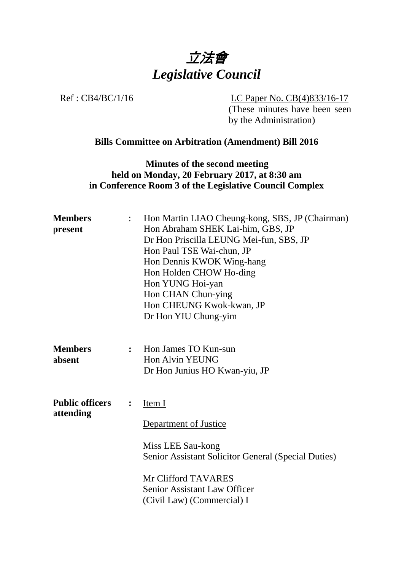

Ref : CB4/BC/1/16 LC Paper No. CB(4)833/16-17

(These minutes have been seen by the Administration)

## **Bills Committee on Arbitration (Amendment) Bill 2016**

**Minutes of the second meeting held on Monday, 20 February 2017, at 8:30 am in Conference Room 3 of the Legislative Council Complex**

| <b>Members</b><br>present           | $\ddot{\cdot}$ | Hon Martin LIAO Cheung-kong, SBS, JP (Chairman)<br>Hon Abraham SHEK Lai-him, GBS, JP<br>Dr Hon Priscilla LEUNG Mei-fun, SBS, JP<br>Hon Paul TSE Wai-chun, JP<br>Hon Dennis KWOK Wing-hang<br>Hon Holden CHOW Ho-ding<br>Hon YUNG Hoi-yan<br>Hon CHAN Chun-ying<br>Hon CHEUNG Kwok-kwan, JP<br>Dr Hon YIU Chung-yim |
|-------------------------------------|----------------|--------------------------------------------------------------------------------------------------------------------------------------------------------------------------------------------------------------------------------------------------------------------------------------------------------------------|
| <b>Members</b><br>absent            | $\mathbf{L}$   | Hon James TO Kun-sun<br><b>Hon Alvin YEUNG</b><br>Dr Hon Junius HO Kwan-yiu, JP                                                                                                                                                                                                                                    |
| <b>Public officers</b><br>attending | $\ddot{\cdot}$ | Item I<br>Department of Justice<br>Miss LEE Sau-kong<br>Senior Assistant Solicitor General (Special Duties)<br>Mr Clifford TAVARES<br>Senior Assistant Law Officer<br>(Civil Law) (Commercial) I                                                                                                                   |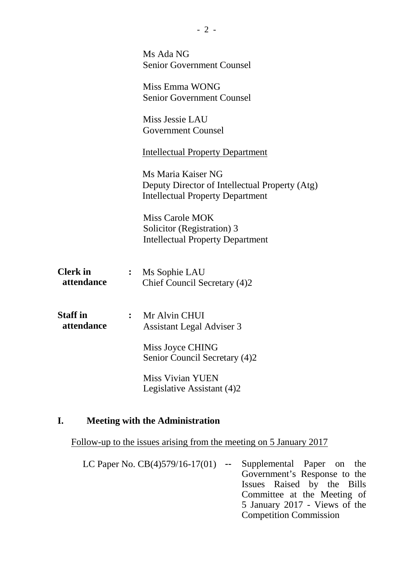|                               |                | Ms Ada NG<br><b>Senior Government Counsel</b>                                                                   |
|-------------------------------|----------------|-----------------------------------------------------------------------------------------------------------------|
|                               |                | Miss Emma WONG<br><b>Senior Government Counsel</b>                                                              |
|                               |                | Miss Jessie LAU<br><b>Government Counsel</b>                                                                    |
|                               |                | <b>Intellectual Property Department</b>                                                                         |
|                               |                | Ms Maria Kaiser NG<br>Deputy Director of Intellectual Property (Atg)<br><b>Intellectual Property Department</b> |
|                               |                | <b>Miss Carole MOK</b><br>Solicitor (Registration) 3<br><b>Intellectual Property Department</b>                 |
| <b>Clerk</b> in<br>attendance | $\ddot{\cdot}$ | Ms Sophie LAU<br>Chief Council Secretary (4)2                                                                   |
| <b>Staff</b> in<br>attendance | $\ddot{\cdot}$ | Mr Alvin CHUI<br><b>Assistant Legal Adviser 3</b>                                                               |
|                               |                | Miss Joyce CHING<br>Senior Council Secretary (4)2                                                               |
|                               |                | <b>Miss Vivian YUEN</b><br>Legislative Assistant (4)2                                                           |

### **I. Meeting with the Administration**

Follow-up to the issues arising from the meeting on 5 January 2017

LC Paper No. CB(4)579/16-17(01) **--** Supplemental Paper on the Government's Response to the Issues Raised by the Bills Committee at the Meeting of 5 January 2017 - Views of the Competition Commission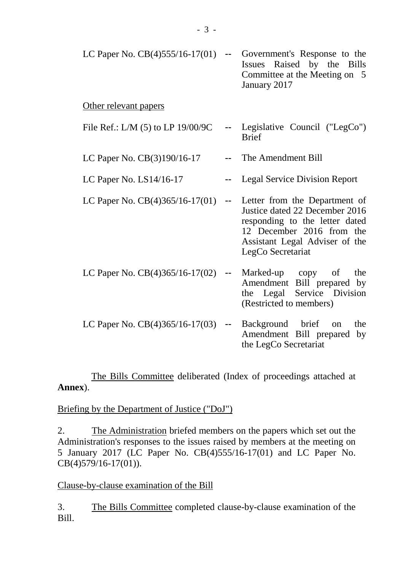| LC Paper No. $CB(4)555/16-17(01)$ |               | Government's Response to the<br>Issues Raised by the Bills<br>Committee at the Meeting on 5<br>January 2017                                                                           |
|-----------------------------------|---------------|---------------------------------------------------------------------------------------------------------------------------------------------------------------------------------------|
| Other relevant papers             |               |                                                                                                                                                                                       |
| File Ref.: L/M (5) to LP 19/00/9C |               | Legislative Council ("LegCo")<br><b>Brief</b>                                                                                                                                         |
| LC Paper No. CB(3)190/16-17       |               | The Amendment Bill                                                                                                                                                                    |
| LC Paper No. $LS14/16-17$         |               | <b>Legal Service Division Report</b>                                                                                                                                                  |
| LC Paper No. $CB(4)365/16-17(01)$ | $\sim$ $\sim$ | Letter from the Department of<br>Justice dated 22 December 2016<br>responding to the letter dated<br>12 December 2016 from the<br>Assistant Legal Adviser of the<br>LegCo Secretariat |
| LC Paper No. $CB(4)365/16-17(02)$ | $\sim$ $\sim$ | Marked-up copy of<br>the<br>Amendment Bill prepared by<br>Legal<br>Service Division<br>the<br>(Restricted to members)                                                                 |
| LC Paper No. $CB(4)365/16-17(03)$ | $\mathbf{u}$  | Background brief<br>the<br>on<br>Amendment Bill prepared<br>by<br>the LegCo Secretariat                                                                                               |

The Bills Committee deliberated (Index of proceedings attached at **Annex**).

Briefing by the Department of Justice ("DoJ")

2. The Administration briefed members on the papers which set out the Administration's responses to the issues raised by members at the meeting on 5 January 2017 (LC Paper No. CB(4)555/16-17(01) and LC Paper No. CB(4)579/16-17(01)).

Clause-by-clause examination of the Bill

3. The Bills Committee completed clause-by-clause examination of the Bill.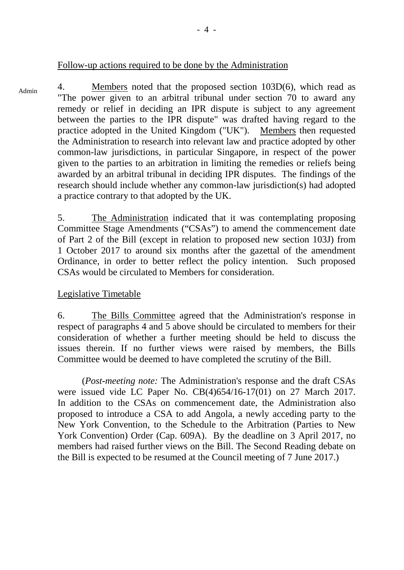#### Follow-up actions required to be done by the Administration

4. Members noted that the proposed section 103D(6), which read as "The power given to an arbitral tribunal under section 70 to award any remedy or relief in deciding an IPR dispute is subject to any agreement between the parties to the IPR dispute" was drafted having regard to the practice adopted in the United Kingdom ("UK"). Members then requested the Administration to research into relevant law and practice adopted by other common-law jurisdictions, in particular Singapore, in respect of the power given to the parties to an arbitration in limiting the remedies or reliefs being awarded by an arbitral tribunal in deciding IPR disputes. The findings of the research should include whether any common-law jurisdiction(s) had adopted a practice contrary to that adopted by the UK. Admin

> 5. The Administration indicated that it was contemplating proposing Committee Stage Amendments ("CSAs") to amend the commencement date of Part 2 of the Bill (except in relation to proposed new section 103J) from 1 October 2017 to around six months after the gazettal of the amendment Ordinance, in order to better reflect the policy intention. Such proposed CSAs would be circulated to Members for consideration.

### Legislative Timetable

6. The Bills Committee agreed that the Administration's response in respect of paragraphs 4 and 5 above should be circulated to members for their consideration of whether a further meeting should be held to discuss the issues therein. If no further views were raised by members, the Bills Committee would be deemed to have completed the scrutiny of the Bill.

(*Post-meeting note:* The Administration's response and the draft CSAs were issued vide LC Paper No. CB(4)654/16-17(01) on 27 March 2017. In addition to the CSAs on commencement date, the Administration also proposed to introduce a CSA to add Angola, a newly acceding party to the New York Convention, to the Schedule to the Arbitration (Parties to New York Convention) Order (Cap. 609A). By the deadline on 3 April 2017, no members had raised further views on the Bill. The Second Reading debate on the Bill is expected to be resumed at the Council meeting of 7 June 2017.)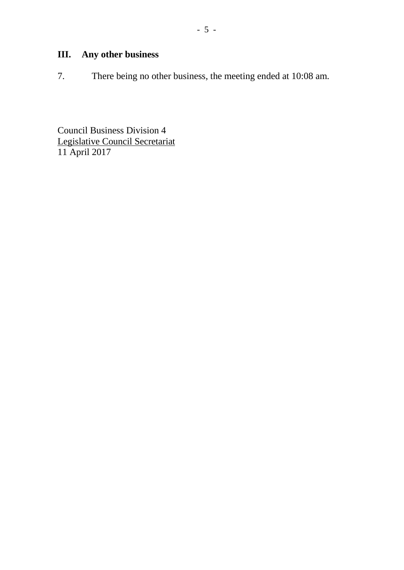7. There being no other business, the meeting ended at 10:08 am.

Council Business Division 4 Legislative Council Secretariat 11 April 2017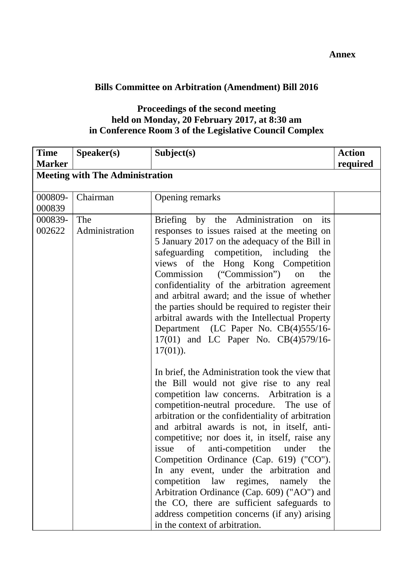# **Bills Committee on Arbitration (Amendment) Bill 2016**

## **Proceedings of the second meeting held on Monday, 20 February 2017, at 8:30 am in Conference Room 3 of the Legislative Council Complex**

| <b>Time</b>       | Speaker(s)                             | Subject(s)                                                                                                                                                                                                                                                                                                                                                                                                                                                                                                                                                                                                                                                                                                                                                                                                                                                                                                                                                                                                                                                                                                                                                                                                                                           | <b>Action</b> |
|-------------------|----------------------------------------|------------------------------------------------------------------------------------------------------------------------------------------------------------------------------------------------------------------------------------------------------------------------------------------------------------------------------------------------------------------------------------------------------------------------------------------------------------------------------------------------------------------------------------------------------------------------------------------------------------------------------------------------------------------------------------------------------------------------------------------------------------------------------------------------------------------------------------------------------------------------------------------------------------------------------------------------------------------------------------------------------------------------------------------------------------------------------------------------------------------------------------------------------------------------------------------------------------------------------------------------------|---------------|
| <b>Marker</b>     |                                        |                                                                                                                                                                                                                                                                                                                                                                                                                                                                                                                                                                                                                                                                                                                                                                                                                                                                                                                                                                                                                                                                                                                                                                                                                                                      | required      |
|                   | <b>Meeting with The Administration</b> |                                                                                                                                                                                                                                                                                                                                                                                                                                                                                                                                                                                                                                                                                                                                                                                                                                                                                                                                                                                                                                                                                                                                                                                                                                                      |               |
| 000809-<br>000839 | Chairman                               | Opening remarks                                                                                                                                                                                                                                                                                                                                                                                                                                                                                                                                                                                                                                                                                                                                                                                                                                                                                                                                                                                                                                                                                                                                                                                                                                      |               |
| 000839-<br>002622 | The<br>Administration                  | Briefing by the Administration<br>its<br>on<br>responses to issues raised at the meeting on<br>5 January 2017 on the adequacy of the Bill in<br>safeguarding competition, including the<br>views of the Hong Kong Competition<br>Commission ("Commission")<br>on<br>the<br>confidentiality of the arbitration agreement<br>and arbitral award; and the issue of whether<br>the parties should be required to register their<br>arbitral awards with the Intellectual Property<br>Department (LC Paper No. CB(4)555/16-<br>17(01) and LC Paper No. CB(4)579/16-<br>$17(01)$ ).<br>In brief, the Administration took the view that<br>the Bill would not give rise to any real<br>competition law concerns. Arbitration is a<br>competition-neutral procedure. The use of<br>arbitration or the confidentiality of arbitration<br>and arbitral awards is not, in itself, anti-<br>competitive; nor does it, in itself, raise any<br>issue of anti-competition under the<br>Competition Ordinance (Cap. 619) ("CO").<br>In any event, under the arbitration and<br>competition law regimes, namely<br>the<br>Arbitration Ordinance (Cap. 609) ("AO") and<br>the CO, there are sufficient safeguards to<br>address competition concerns (if any) arising |               |
|                   |                                        | in the context of arbitration.                                                                                                                                                                                                                                                                                                                                                                                                                                                                                                                                                                                                                                                                                                                                                                                                                                                                                                                                                                                                                                                                                                                                                                                                                       |               |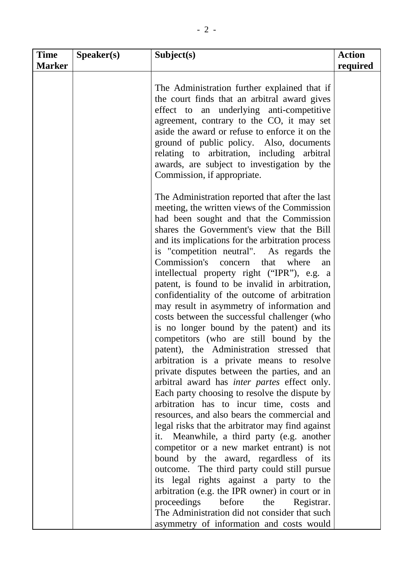| <b>Time</b><br><b>Marker</b> | Speaker(s) | Subject(s)                                                                                                                                                                                                                                                                                                                                                                                                                                                                                                                                                                                                                                                                                                                                                                                                                                                                                                                                                                                                                                                                                                                                                                                                                                                                                                                                                                                                                                                                                                     | <b>Action</b><br>required |
|------------------------------|------------|----------------------------------------------------------------------------------------------------------------------------------------------------------------------------------------------------------------------------------------------------------------------------------------------------------------------------------------------------------------------------------------------------------------------------------------------------------------------------------------------------------------------------------------------------------------------------------------------------------------------------------------------------------------------------------------------------------------------------------------------------------------------------------------------------------------------------------------------------------------------------------------------------------------------------------------------------------------------------------------------------------------------------------------------------------------------------------------------------------------------------------------------------------------------------------------------------------------------------------------------------------------------------------------------------------------------------------------------------------------------------------------------------------------------------------------------------------------------------------------------------------------|---------------------------|
|                              |            | The Administration further explained that if<br>the court finds that an arbitral award gives<br>effect to an underlying anti-competitive<br>agreement, contrary to the CO, it may set<br>aside the award or refuse to enforce it on the<br>ground of public policy. Also, documents<br>relating to arbitration, including arbitral<br>awards, are subject to investigation by the<br>Commission, if appropriate.                                                                                                                                                                                                                                                                                                                                                                                                                                                                                                                                                                                                                                                                                                                                                                                                                                                                                                                                                                                                                                                                                               |                           |
|                              |            | The Administration reported that after the last<br>meeting, the written views of the Commission<br>had been sought and that the Commission<br>shares the Government's view that the Bill<br>and its implications for the arbitration process<br>is "competition neutral". As regards the<br>Commission's concern<br>that<br>where<br>an<br>intellectual property right ("IPR"), e.g. a<br>patent, is found to be invalid in arbitration,<br>confidentiality of the outcome of arbitration<br>may result in asymmetry of information and<br>costs between the successful challenger (who<br>is no longer bound by the patent) and its<br>competitors (who are still bound by the<br>patent), the Administration stressed that<br>arbitration is a private means to resolve<br>private disputes between the parties, and an<br>arbitral award has <i>inter partes</i> effect only.<br>Each party choosing to resolve the dispute by<br>arbitration has to incur time, costs and<br>resources, and also bears the commercial and<br>legal risks that the arbitrator may find against<br>it. Meanwhile, a third party (e.g. another<br>competitor or a new market entrant) is not<br>bound by the award, regardless of its<br>outcome. The third party could still pursue<br>its legal rights against a party to the<br>arbitration (e.g. the IPR owner) in court or in<br>proceedings<br>before<br>the<br>Registrar.<br>The Administration did not consider that such<br>asymmetry of information and costs would |                           |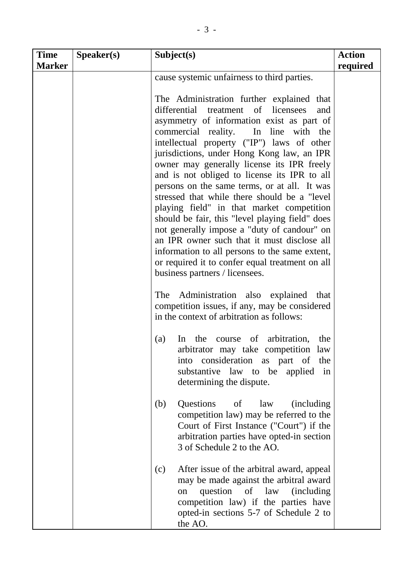| <b>Time</b><br><b>Marker</b> | S <sub>p</sub> e <sub>aker(s)</sub> | Subject(s)                                                                                                                                                                                                                                                                                                                                                                                                                                                                                                                                                                                                                                                                                                                                                                                                                                                          | <b>Action</b><br>required |
|------------------------------|-------------------------------------|---------------------------------------------------------------------------------------------------------------------------------------------------------------------------------------------------------------------------------------------------------------------------------------------------------------------------------------------------------------------------------------------------------------------------------------------------------------------------------------------------------------------------------------------------------------------------------------------------------------------------------------------------------------------------------------------------------------------------------------------------------------------------------------------------------------------------------------------------------------------|---------------------------|
|                              |                                     | cause systemic unfairness to third parties.                                                                                                                                                                                                                                                                                                                                                                                                                                                                                                                                                                                                                                                                                                                                                                                                                         |                           |
|                              |                                     | The Administration further explained that<br>differential treatment of licensees<br>and<br>asymmetry of information exist as part of<br>commercial reality.<br>In line with the<br>intellectual property ("IP") laws of other<br>jurisdictions, under Hong Kong law, an IPR<br>owner may generally license its IPR freely<br>and is not obliged to license its IPR to all<br>persons on the same terms, or at all. It was<br>stressed that while there should be a "level"<br>playing field" in that market competition<br>should be fair, this "level playing field" does<br>not generally impose a "duty of candour" on<br>an IPR owner such that it must disclose all<br>information to all persons to the same extent,<br>or required it to confer equal treatment on all<br>business partners / licensees.<br>Administration also explained that<br><b>The</b> |                           |
|                              |                                     | competition issues, if any, may be considered<br>in the context of arbitration as follows:                                                                                                                                                                                                                                                                                                                                                                                                                                                                                                                                                                                                                                                                                                                                                                          |                           |
|                              |                                     | course of<br>arbitration,<br>(a)<br>the<br>the<br>In<br>arbitrator may take competition law<br>consideration as part of<br>into<br>the<br>substantive law to be applied<br>in<br>determining the dispute.                                                                                                                                                                                                                                                                                                                                                                                                                                                                                                                                                                                                                                                           |                           |
|                              |                                     | (b)<br><b>Questions</b><br>of<br>law<br>(including)<br>competition law) may be referred to the<br>Court of First Instance ("Court") if the<br>arbitration parties have opted-in section<br>3 of Schedule 2 to the AO.                                                                                                                                                                                                                                                                                                                                                                                                                                                                                                                                                                                                                                               |                           |
|                              |                                     | (c)<br>After issue of the arbitral award, appeal<br>may be made against the arbitral award<br>question of law<br>(including)<br>on<br>competition law) if the parties have<br>opted-in sections 5-7 of Schedule 2 to<br>the AO.                                                                                                                                                                                                                                                                                                                                                                                                                                                                                                                                                                                                                                     |                           |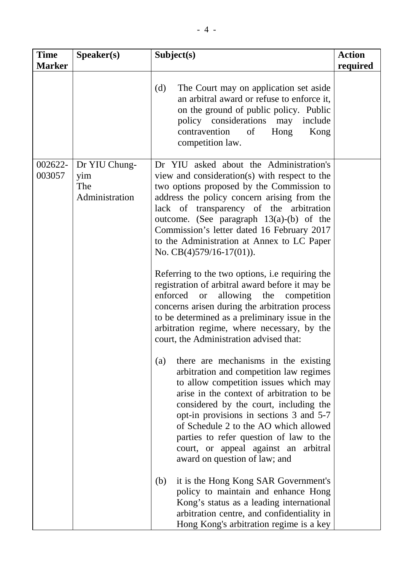| <b>Time</b><br><b>Marker</b> | Speaker(s)                                    | Subject(s)                                                                                                                                                                                                                                                                                                                                                                                                                                                                                                                                                                                                                                                                                                                                                           | <b>Action</b><br>required |
|------------------------------|-----------------------------------------------|----------------------------------------------------------------------------------------------------------------------------------------------------------------------------------------------------------------------------------------------------------------------------------------------------------------------------------------------------------------------------------------------------------------------------------------------------------------------------------------------------------------------------------------------------------------------------------------------------------------------------------------------------------------------------------------------------------------------------------------------------------------------|---------------------------|
|                              |                                               | (d)<br>The Court may on application set aside<br>an arbitral award or refuse to enforce it,<br>on the ground of public policy. Public<br>policy considerations<br>may<br>include<br>contravention<br>of<br>Hong<br>Kong<br>competition law.                                                                                                                                                                                                                                                                                                                                                                                                                                                                                                                          |                           |
| 002622-<br>003057            | Dr YIU Chung-<br>yim<br>The<br>Administration | Dr YIU asked about the Administration's<br>view and consideration(s) with respect to the<br>two options proposed by the Commission to<br>address the policy concern arising from the<br>lack of transparency of the arbitration<br>outcome. (See paragraph $13(a)$ -(b) of the<br>Commission's letter dated 16 February 2017<br>to the Administration at Annex to LC Paper<br>No. $CB(4)579/16-17(01)$ .<br>Referring to the two options, i.e requiring the<br>registration of arbitral award before it may be<br>enforced<br>allowing the<br>competition<br><b>or</b><br>concerns arisen during the arbitration process<br>to be determined as a preliminary issue in the<br>arbitration regime, where necessary, by the<br>court, the Administration advised that: |                           |
|                              |                                               | there are mechanisms in the existing<br>(a)<br>arbitration and competition law regimes<br>to allow competition issues which may<br>arise in the context of arbitration to be<br>considered by the court, including the<br>opt-in provisions in sections 3 and 5-7<br>of Schedule 2 to the AO which allowed<br>parties to refer question of law to the<br>court, or appeal against an arbitral<br>award on question of law; and<br>it is the Hong Kong SAR Government's<br>(b)<br>policy to maintain and enhance Hong<br>Kong's status as a leading international<br>arbitration centre, and confidentiality in<br>Hong Kong's arbitration regime is a key                                                                                                            |                           |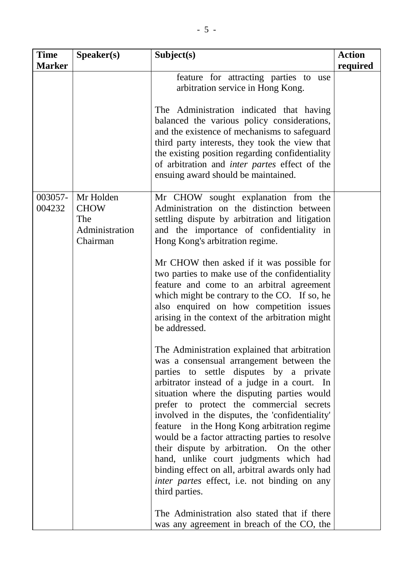| <b>Time</b><br><b>Marker</b> | Speaker(s)                                                    | Subject(s)                                                                                                                                                                                                                                                                                                                                                                                                                                                                                                                                                                                                                                                                                                                                                                                                                                                                                                                                                                                                                                                                                                                                                                               | <b>Action</b><br>required |
|------------------------------|---------------------------------------------------------------|------------------------------------------------------------------------------------------------------------------------------------------------------------------------------------------------------------------------------------------------------------------------------------------------------------------------------------------------------------------------------------------------------------------------------------------------------------------------------------------------------------------------------------------------------------------------------------------------------------------------------------------------------------------------------------------------------------------------------------------------------------------------------------------------------------------------------------------------------------------------------------------------------------------------------------------------------------------------------------------------------------------------------------------------------------------------------------------------------------------------------------------------------------------------------------------|---------------------------|
|                              |                                                               | feature for attracting parties to use<br>arbitration service in Hong Kong.<br>The Administration indicated that having<br>balanced the various policy considerations,<br>and the existence of mechanisms to safeguard                                                                                                                                                                                                                                                                                                                                                                                                                                                                                                                                                                                                                                                                                                                                                                                                                                                                                                                                                                    |                           |
|                              |                                                               | third party interests, they took the view that<br>the existing position regarding confidentiality<br>of arbitration and <i>inter partes</i> effect of the<br>ensuing award should be maintained.                                                                                                                                                                                                                                                                                                                                                                                                                                                                                                                                                                                                                                                                                                                                                                                                                                                                                                                                                                                         |                           |
| 003057-<br>004232            | Mr Holden<br><b>CHOW</b><br>The<br>Administration<br>Chairman | Mr CHOW sought explanation from the<br>Administration on the distinction between<br>settling dispute by arbitration and litigation<br>and the importance of confidentiality in<br>Hong Kong's arbitration regime.<br>Mr CHOW then asked if it was possible for<br>two parties to make use of the confidentiality<br>feature and come to an arbitral agreement<br>which might be contrary to the CO. If so, he<br>also enquired on how competition issues<br>arising in the context of the arbitration might<br>be addressed.<br>The Administration explained that arbitration<br>was a consensual arrangement between the<br>parties to settle disputes by a private<br>arbitrator instead of a judge in a court. In<br>situation where the disputing parties would<br>prefer to protect the commercial secrets<br>involved in the disputes, the 'confidentiality'<br>feature in the Hong Kong arbitration regime<br>would be a factor attracting parties to resolve<br>their dispute by arbitration. On the other<br>hand, unlike court judgments which had<br>binding effect on all, arbitral awards only had<br><i>inter partes</i> effect, i.e. not binding on any<br>third parties. |                           |
|                              |                                                               | The Administration also stated that if there<br>was any agreement in breach of the CO, the                                                                                                                                                                                                                                                                                                                                                                                                                                                                                                                                                                                                                                                                                                                                                                                                                                                                                                                                                                                                                                                                                               |                           |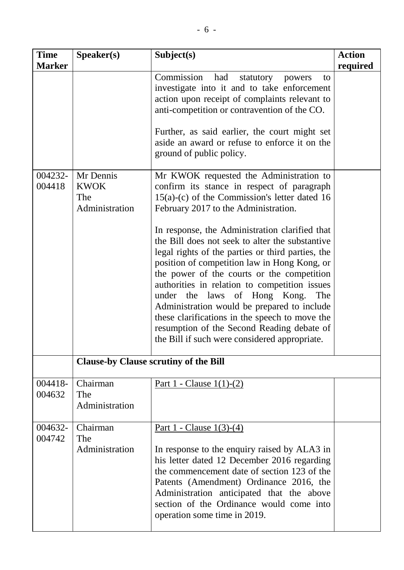| <b>Time</b><br><b>Marker</b> | Speaker(s)                                        | Subject(s)                                                                                                                                                                                                                                                                                                                                                                                                                                                                                                                                                                                                                                                                                                                       | <b>Action</b><br>required |
|------------------------------|---------------------------------------------------|----------------------------------------------------------------------------------------------------------------------------------------------------------------------------------------------------------------------------------------------------------------------------------------------------------------------------------------------------------------------------------------------------------------------------------------------------------------------------------------------------------------------------------------------------------------------------------------------------------------------------------------------------------------------------------------------------------------------------------|---------------------------|
|                              |                                                   | Commission<br>had<br>statutory<br>powers<br>to<br>investigate into it and to take enforcement<br>action upon receipt of complaints relevant to<br>anti-competition or contravention of the CO.<br>Further, as said earlier, the court might set<br>aside an award or refuse to enforce it on the<br>ground of public policy.                                                                                                                                                                                                                                                                                                                                                                                                     |                           |
| 004232-<br>004418            | Mr Dennis<br><b>KWOK</b><br>The<br>Administration | Mr KWOK requested the Administration to<br>confirm its stance in respect of paragraph<br>$15(a)-(c)$ of the Commission's letter dated 16<br>February 2017 to the Administration.<br>In response, the Administration clarified that<br>the Bill does not seek to alter the substantive<br>legal rights of the parties or third parties, the<br>position of competition law in Hong Kong, or<br>the power of the courts or the competition<br>authorities in relation to competition issues<br>under the laws of Hong Kong.<br>The<br>Administration would be prepared to include<br>these clarifications in the speech to move the<br>resumption of the Second Reading debate of<br>the Bill if such were considered appropriate. |                           |
|                              |                                                   | <b>Clause-by Clause scrutiny of the Bill</b>                                                                                                                                                                                                                                                                                                                                                                                                                                                                                                                                                                                                                                                                                     |                           |
| 004418-<br>004632            | Chairman<br>The<br>Administration                 | Part 1 - Clause $1(1)-(2)$                                                                                                                                                                                                                                                                                                                                                                                                                                                                                                                                                                                                                                                                                                       |                           |
| 004632-<br>004742            | Chairman<br>The<br>Administration                 | Part 1 - Clause $1(3)-(4)$<br>In response to the enquiry raised by ALA3 in<br>his letter dated 12 December 2016 regarding<br>the commencement date of section 123 of the<br>Patents (Amendment) Ordinance 2016, the<br>Administration anticipated that the above<br>section of the Ordinance would come into<br>operation some time in 2019.                                                                                                                                                                                                                                                                                                                                                                                     |                           |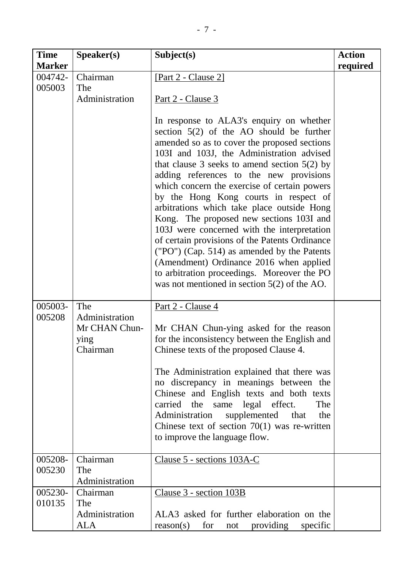| <b>Time</b><br><b>Marker</b> | Speaker(s)            | Subject(s)                                                                                      | <b>Action</b><br>required |
|------------------------------|-----------------------|-------------------------------------------------------------------------------------------------|---------------------------|
| 004742-                      | Chairman              | [Part 2 - Clause 2]                                                                             |                           |
| 005003                       | The                   |                                                                                                 |                           |
|                              | Administration        | <u>Part 2 - Clause 3</u>                                                                        |                           |
|                              |                       |                                                                                                 |                           |
|                              |                       | In response to ALA3's enquiry on whether<br>section $5(2)$ of the AO should be further          |                           |
|                              |                       | amended so as to cover the proposed sections                                                    |                           |
|                              |                       | 103I and 103J, the Administration advised                                                       |                           |
|                              |                       | that clause 3 seeks to amend section $5(2)$ by                                                  |                           |
|                              |                       | adding references to the new provisions<br>which concern the exercise of certain powers         |                           |
|                              |                       | by the Hong Kong courts in respect of                                                           |                           |
|                              |                       | arbitrations which take place outside Hong                                                      |                           |
|                              |                       | Kong. The proposed new sections 103I and                                                        |                           |
|                              |                       | 103J were concerned with the interpretation<br>of certain provisions of the Patents Ordinance   |                           |
|                              |                       | ("PO") (Cap. 514) as amended by the Patents                                                     |                           |
|                              |                       | (Amendment) Ordinance 2016 when applied                                                         |                           |
|                              |                       | to arbitration proceedings. Moreover the PO                                                     |                           |
|                              |                       | was not mentioned in section $5(2)$ of the AO.                                                  |                           |
| 005003-                      | The                   | Part 2 - Clause 4                                                                               |                           |
| 005208                       | Administration        |                                                                                                 |                           |
|                              | Mr CHAN Chun-<br>ying | Mr CHAN Chun-ying asked for the reason<br>for the inconsistency between the English and         |                           |
|                              | Chairman              | Chinese texts of the proposed Clause 4.                                                         |                           |
|                              |                       | The Administration explained that there was                                                     |                           |
|                              |                       | no discrepancy in meanings between the                                                          |                           |
|                              |                       | Chinese and English texts and both texts                                                        |                           |
|                              |                       | carried the same legal effect.<br>The                                                           |                           |
|                              |                       | supplemented<br>Administration<br>that<br>the<br>Chinese text of section $70(1)$ was re-written |                           |
|                              |                       | to improve the language flow.                                                                   |                           |
| 005208-                      | Chairman              | Clause 5 - sections 103A-C                                                                      |                           |
| 005230                       | The                   |                                                                                                 |                           |
|                              | Administration        |                                                                                                 |                           |
| 005230-                      | Chairman              | <u>Clause 3 - section 103B</u>                                                                  |                           |
| 010135                       | The                   |                                                                                                 |                           |
|                              | Administration<br>ALA | ALA3 asked for further elaboration on the<br>reason(s)<br>for<br>providing<br>specific<br>not   |                           |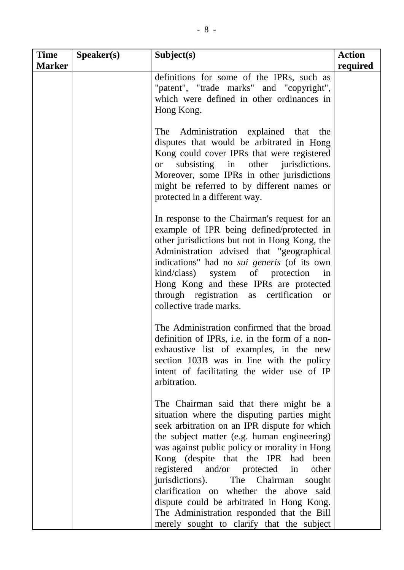| <b>Time</b><br><b>Marker</b> | S <sub>p</sub> eaker(s) | Subject(s)                                                                                                                                                                                                                                                                                                                                                                                                                                                                                                                                                        | <b>Action</b><br>required |
|------------------------------|-------------------------|-------------------------------------------------------------------------------------------------------------------------------------------------------------------------------------------------------------------------------------------------------------------------------------------------------------------------------------------------------------------------------------------------------------------------------------------------------------------------------------------------------------------------------------------------------------------|---------------------------|
|                              |                         | definitions for some of the IPRs, such as<br>"patent", "trade marks" and "copyright",<br>which were defined in other ordinances in<br>Hong Kong.                                                                                                                                                                                                                                                                                                                                                                                                                  |                           |
|                              |                         | The Administration explained that the<br>disputes that would be arbitrated in Hong<br>Kong could cover IPRs that were registered<br>subsisting in other jurisdictions.<br><sub>or</sub><br>Moreover, some IPRs in other jurisdictions<br>might be referred to by different names or<br>protected in a different way.                                                                                                                                                                                                                                              |                           |
|                              |                         | In response to the Chairman's request for an<br>example of IPR being defined/protected in<br>other jurisdictions but not in Hong Kong, the<br>Administration advised that "geographical<br>indications" had no <i>sui generis</i> (of its own<br>kind/class) system of protection<br>in<br>Hong Kong and these IPRs are protected<br>through registration as certification<br><b>or</b><br>collective trade marks.                                                                                                                                                |                           |
|                              |                         | The Administration confirmed that the broad<br>definition of IPRs, i.e. in the form of a non-<br>exhaustive list of examples, in the new<br>section 103B was in line with the policy<br>intent of facilitating the wider use of IP<br>arbitration.                                                                                                                                                                                                                                                                                                                |                           |
|                              |                         | The Chairman said that there might be a<br>situation where the disputing parties might<br>seek arbitration on an IPR dispute for which<br>the subject matter (e.g. human engineering)<br>was against public policy or morality in Hong<br>Kong (despite that the IPR had<br>been<br>registered and/or protected<br>other<br>in<br>jurisdictions).<br>The Chairman<br>sought<br>clarification on whether the above<br>said<br>dispute could be arbitrated in Hong Kong.<br>The Administration responded that the Bill<br>merely sought to clarify that the subject |                           |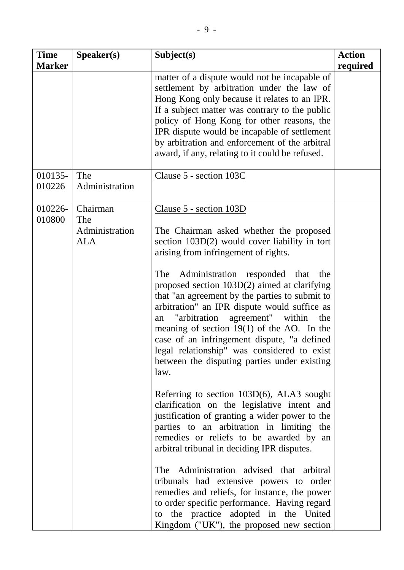| <b>Time</b><br><b>Marker</b> | Speaker(s)                                      | Subject(s)                                                                                                                                                                                                                                                                                                                                                                                                                                                                                                                                                                                                                                                                                                                                                                                                                                                                                                                                                                                                                                                                                                                                                                       | <b>Action</b><br>required |
|------------------------------|-------------------------------------------------|----------------------------------------------------------------------------------------------------------------------------------------------------------------------------------------------------------------------------------------------------------------------------------------------------------------------------------------------------------------------------------------------------------------------------------------------------------------------------------------------------------------------------------------------------------------------------------------------------------------------------------------------------------------------------------------------------------------------------------------------------------------------------------------------------------------------------------------------------------------------------------------------------------------------------------------------------------------------------------------------------------------------------------------------------------------------------------------------------------------------------------------------------------------------------------|---------------------------|
|                              |                                                 | matter of a dispute would not be incapable of<br>settlement by arbitration under the law of<br>Hong Kong only because it relates to an IPR.<br>If a subject matter was contrary to the public<br>policy of Hong Kong for other reasons, the<br>IPR dispute would be incapable of settlement<br>by arbitration and enforcement of the arbitral<br>award, if any, relating to it could be refused.                                                                                                                                                                                                                                                                                                                                                                                                                                                                                                                                                                                                                                                                                                                                                                                 |                           |
| 010135-<br>010226            | The<br>Administration                           | Clause 5 - section 103C                                                                                                                                                                                                                                                                                                                                                                                                                                                                                                                                                                                                                                                                                                                                                                                                                                                                                                                                                                                                                                                                                                                                                          |                           |
| 010226-<br>010800            | Chairman<br>The<br>Administration<br><b>ALA</b> | Clause 5 - section 103D<br>The Chairman asked whether the proposed<br>section 103D(2) would cover liability in tort<br>arising from infringement of rights.<br>Administration responded that<br>The<br>the<br>proposed section 103D(2) aimed at clarifying<br>that "an agreement by the parties to submit to<br>arbitration" an IPR dispute would suffice as<br>"arbitration agreement" within the<br>an<br>meaning of section $19(1)$ of the AO. In the<br>case of an infringement dispute, "a defined<br>legal relationship" was considered to exist<br>between the disputing parties under existing<br>law.<br>Referring to section 103D(6), ALA3 sought<br>clarification on the legislative intent and<br>justification of granting a wider power to the<br>parties to an arbitration in limiting the<br>remedies or reliefs to be awarded by an<br>arbitral tribunal in deciding IPR disputes.<br>The Administration advised that arbitral<br>tribunals had extensive powers to order<br>remedies and reliefs, for instance, the power<br>to order specific performance. Having regard<br>to the practice adopted in the United<br>Kingdom ("UK"), the proposed new section |                           |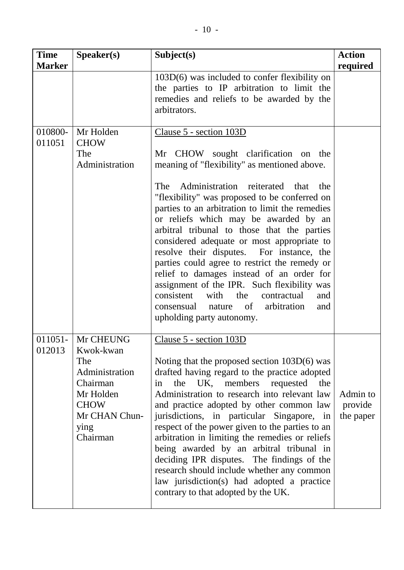| <b>Time</b><br><b>Marker</b> | Speaker(s)                                                                                                                   | Subject(s)                                                                                                                                                                                                                                                                                                                                                                                                                                                                                                                                                                                                                                                                                                                    | <b>Action</b><br>required        |
|------------------------------|------------------------------------------------------------------------------------------------------------------------------|-------------------------------------------------------------------------------------------------------------------------------------------------------------------------------------------------------------------------------------------------------------------------------------------------------------------------------------------------------------------------------------------------------------------------------------------------------------------------------------------------------------------------------------------------------------------------------------------------------------------------------------------------------------------------------------------------------------------------------|----------------------------------|
|                              |                                                                                                                              | $103D(6)$ was included to confer flexibility on<br>the parties to IP arbitration to limit the<br>remedies and reliefs to be awarded by the<br>arbitrators.                                                                                                                                                                                                                                                                                                                                                                                                                                                                                                                                                                    |                                  |
| 010800-<br>011051            | Mr Holden<br><b>CHOW</b><br>The<br>Administration                                                                            | Clause 5 - section 103D<br>Mr CHOW sought clarification on the<br>meaning of "flexibility" as mentioned above.<br>Administration reiterated that the<br>The<br>"flexibility" was proposed to be conferred on<br>parties to an arbitration to limit the remedies<br>or reliefs which may be awarded by an<br>arbitral tribunal to those that the parties<br>considered adequate or most appropriate to<br>resolve their disputes. For instance, the<br>parties could agree to restrict the remedy or<br>relief to damages instead of an order for<br>assignment of the IPR. Such flexibility was<br>consistent with<br>the<br>contractual<br>and<br>arbitration<br>of<br>consensual nature<br>and<br>upholding party autonomy. |                                  |
| 011051-<br>012013            | Mr CHEUNG<br>Kwok-kwan<br>The<br>Administration<br>Chairman<br>Mr Holden<br><b>CHOW</b><br>Mr CHAN Chun-<br>ying<br>Chairman | Clause 5 - section 103D<br>Noting that the proposed section $103D(6)$ was<br>drafted having regard to the practice adopted<br>the UK, members<br>requested<br>the<br>in<br>Administration to research into relevant law<br>and practice adopted by other common law<br>jurisdictions, in particular Singapore, in<br>respect of the power given to the parties to an<br>arbitration in limiting the remedies or reliefs<br>being awarded by an arbitral tribunal in<br>deciding IPR disputes. The findings of the<br>research should include whether any common<br>law jurisdiction(s) had adopted a practice<br>contrary to that adopted by the UK.                                                                          | Admin to<br>provide<br>the paper |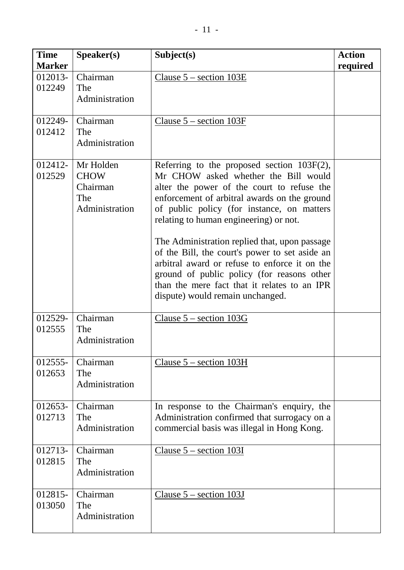| <b>Time</b><br><b>Marker</b> | Speaker(s)                                                    | Subject(s)                                                                                                                                                                                                                                                                                                                                                                                                                                                                                                                                                        | <b>Action</b><br>required |
|------------------------------|---------------------------------------------------------------|-------------------------------------------------------------------------------------------------------------------------------------------------------------------------------------------------------------------------------------------------------------------------------------------------------------------------------------------------------------------------------------------------------------------------------------------------------------------------------------------------------------------------------------------------------------------|---------------------------|
| $012013 -$<br>012249         | Chairman<br>The<br>Administration                             | Clause $5$ – section $103E$                                                                                                                                                                                                                                                                                                                                                                                                                                                                                                                                       |                           |
| 012249-<br>012412            | Chairman<br>The<br>Administration                             | Clause $5$ – section 103F                                                                                                                                                                                                                                                                                                                                                                                                                                                                                                                                         |                           |
| $012412 -$<br>012529         | Mr Holden<br><b>CHOW</b><br>Chairman<br>The<br>Administration | Referring to the proposed section $103F(2)$ ,<br>Mr CHOW asked whether the Bill would<br>alter the power of the court to refuse the<br>enforcement of arbitral awards on the ground<br>of public policy (for instance, on matters<br>relating to human engineering) or not.<br>The Administration replied that, upon passage<br>of the Bill, the court's power to set aside an<br>arbitral award or refuse to enforce it on the<br>ground of public policy (for reasons other<br>than the mere fact that it relates to an IPR<br>dispute) would remain unchanged. |                           |
| 012529-<br>012555            | Chairman<br>The<br>Administration                             | Clause $5$ – section $103G$                                                                                                                                                                                                                                                                                                                                                                                                                                                                                                                                       |                           |
| 012555-<br>012653            | Chairman<br>The<br>Administration                             | Clause $5$ – section 103H                                                                                                                                                                                                                                                                                                                                                                                                                                                                                                                                         |                           |
| 012653-<br>012713            | Chairman<br>The<br>Administration                             | In response to the Chairman's enquiry, the<br>Administration confirmed that surrogacy on a<br>commercial basis was illegal in Hong Kong.                                                                                                                                                                                                                                                                                                                                                                                                                          |                           |
| 012713-<br>012815            | Chairman<br>The<br>Administration                             | Clause $5$ – section 103I                                                                                                                                                                                                                                                                                                                                                                                                                                                                                                                                         |                           |
| 012815-<br>013050            | Chairman<br>The<br>Administration                             | Clause $5$ – section 103J                                                                                                                                                                                                                                                                                                                                                                                                                                                                                                                                         |                           |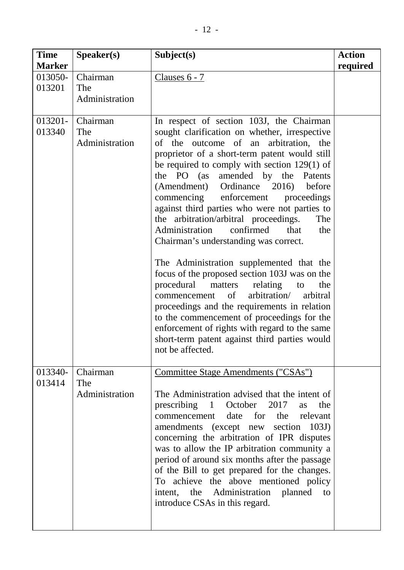| <b>Time</b><br><b>Marker</b> | Speaker(s)                        | Subject(s)                                                                                                                                                                                                                                                                                                                                                                                                                                                                                                                                                                                                                                                                                                                                                                                                                                                                                                                                                                        | <b>Action</b><br>required |
|------------------------------|-----------------------------------|-----------------------------------------------------------------------------------------------------------------------------------------------------------------------------------------------------------------------------------------------------------------------------------------------------------------------------------------------------------------------------------------------------------------------------------------------------------------------------------------------------------------------------------------------------------------------------------------------------------------------------------------------------------------------------------------------------------------------------------------------------------------------------------------------------------------------------------------------------------------------------------------------------------------------------------------------------------------------------------|---------------------------|
| 013050-<br>013201            | Chairman<br>The<br>Administration | Clauses $6 - 7$                                                                                                                                                                                                                                                                                                                                                                                                                                                                                                                                                                                                                                                                                                                                                                                                                                                                                                                                                                   |                           |
| 013201-<br>013340            | Chairman<br>The<br>Administration | In respect of section 103J, the Chairman<br>sought clarification on whether, irrespective<br>of the outcome of an arbitration, the<br>proprietor of a short-term patent would still<br>be required to comply with section $129(1)$ of<br>the $PO$ (as<br>amended by the Patents<br>(Amendment) Ordinance 2016)<br>before<br>commencing<br>enforcement<br>proceedings<br>against third parties who were not parties to<br>the arbitration/arbitral proceedings.<br>The<br>confirmed<br>Administration<br>that<br>the<br>Chairman's understanding was correct.<br>The Administration supplemented that the<br>focus of the proposed section 103J was on the<br>procedural<br>matters<br>relating<br>the<br>to<br>arbitration/<br>of<br>arbitral<br>commencement<br>proceedings and the requirements in relation<br>to the commencement of proceedings for the<br>enforcement of rights with regard to the same<br>short-term patent against third parties would<br>not be affected. |                           |
| 013340-<br>013414            | Chairman<br>The<br>Administration | Committee Stage Amendments ("CSAs")<br>The Administration advised that the intent of<br>prescribing 1 October 2017<br>the<br>as<br>date for<br>commencement<br>the relevant<br>amendments (except new section 103J)<br>concerning the arbitration of IPR disputes<br>was to allow the IP arbitration community a<br>period of around six months after the passage<br>of the Bill to get prepared for the changes.<br>To achieve the above mentioned policy<br>intent, the Administration planned<br>to<br>introduce CSAs in this regard.                                                                                                                                                                                                                                                                                                                                                                                                                                          |                           |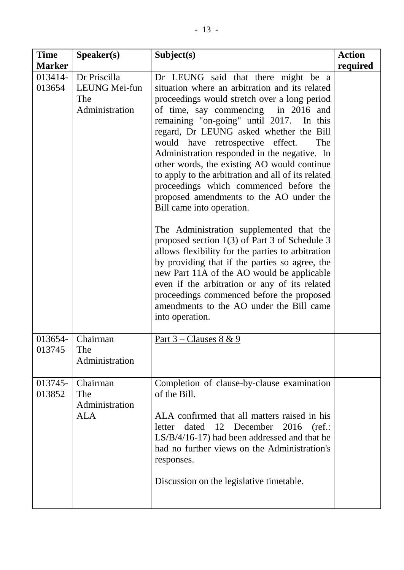| <b>Time</b>                        | S <sub>p</sub> e <sub>aker(s)</sub>                    | Subject(s)                                                                                                                                                                                                                                                                                                                                                                                                                                                                                                                                                                                                                                                                                                                                                                                                                                                                                                                                                                                           | <b>Action</b> |
|------------------------------------|--------------------------------------------------------|------------------------------------------------------------------------------------------------------------------------------------------------------------------------------------------------------------------------------------------------------------------------------------------------------------------------------------------------------------------------------------------------------------------------------------------------------------------------------------------------------------------------------------------------------------------------------------------------------------------------------------------------------------------------------------------------------------------------------------------------------------------------------------------------------------------------------------------------------------------------------------------------------------------------------------------------------------------------------------------------------|---------------|
| <b>Marker</b><br>013414-<br>013654 | Dr Priscilla<br>LEUNG Mei-fun<br>The<br>Administration | Dr LEUNG said that there might be a<br>situation where an arbitration and its related<br>proceedings would stretch over a long period<br>of time, say commencing in 2016 and<br>remaining "on-going" until 2017. In this<br>regard, Dr LEUNG asked whether the Bill<br>would have retrospective effect.<br>The<br>Administration responded in the negative. In<br>other words, the existing AO would continue<br>to apply to the arbitration and all of its related<br>proceedings which commenced before the<br>proposed amendments to the AO under the<br>Bill came into operation.<br>The Administration supplemented that the<br>proposed section 1(3) of Part 3 of Schedule 3<br>allows flexibility for the parties to arbitration<br>by providing that if the parties so agree, the<br>new Part 11A of the AO would be applicable<br>even if the arbitration or any of its related<br>proceedings commenced before the proposed<br>amendments to the AO under the Bill came<br>into operation. | required      |
| 013654-<br>013745                  | Chairman<br>The<br>Administration                      | <u>Part 3 – Clauses 8 &amp; 9</u>                                                                                                                                                                                                                                                                                                                                                                                                                                                                                                                                                                                                                                                                                                                                                                                                                                                                                                                                                                    |               |
| 013745-<br>013852                  | Chairman<br>The<br>Administration<br>ALA               | Completion of clause-by-clause examination<br>of the Bill.<br>ALA confirmed that all matters raised in his<br>dated 12 December 2016<br>letter<br>(ref.:<br>$LS/B/4/16-17$ ) had been addressed and that he<br>had no further views on the Administration's<br>responses.<br>Discussion on the legislative timetable.                                                                                                                                                                                                                                                                                                                                                                                                                                                                                                                                                                                                                                                                                |               |